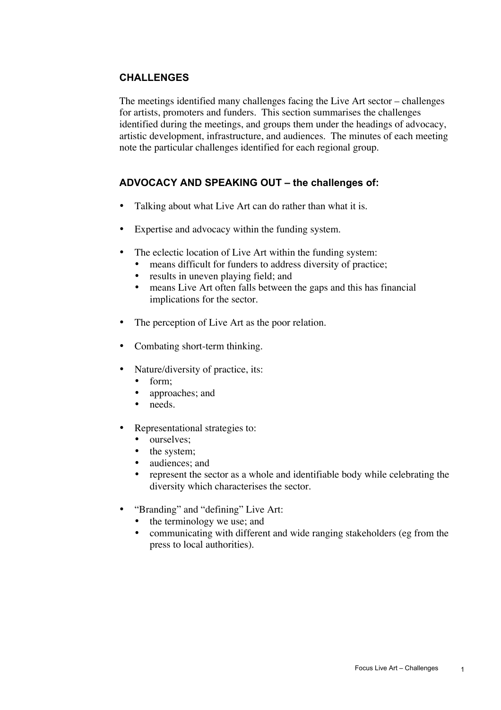## **CHALLENGES**

The meetings identified many challenges facing the Live Art sector – challenges for artists, promoters and funders. This section summarises the challenges identified during the meetings, and groups them under the headings of advocacy, artistic development, infrastructure, and audiences. The minutes of each meeting note the particular challenges identified for each regional group.

### **ADVOCACY AND SPEAKING OUT – the challenges of:**

Talking about what Live Art can do rather than what it is.

Expertise and advocacy within the funding system.

The eclectic location of Live Art within the funding system: means difficult for funders to address diversity of practice; results in uneven playing field; and means Live Art often falls between the gaps and this has financial implications for the sector.

The perception of Live Art as the poor relation.

Combating short-term thinking.

Nature/diversity of practice, its: form; approaches; and needs.

Representational strategies to:

ourselves;

the system;

audiences; and

represent the sector as a whole and identifiable body while celebrating the diversity which characterises the sector.

"Branding" and "defining" Live Art: the terminology we use; and communicating with different and wide ranging stakeholders (eg from the press to local authorities).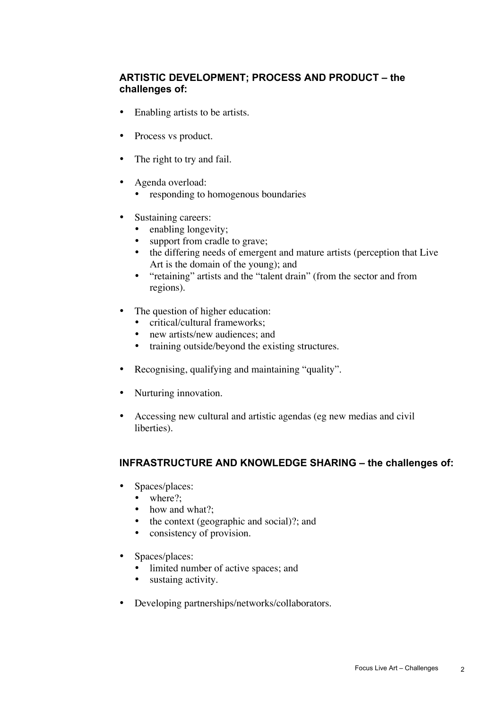# **ARTISTIC DEVELOPMENT; PROCESS AND PRODUCT – the challenges of:**

Enabling artists to be artists.

Process vs product.

The right to try and fail.

Agenda overload: responding to homogenous boundaries

Sustaining careers: enabling longevity; support from cradle to grave; the differing needs of emergent and mature artists (perception that Live Art is the domain of the young); and "retaining" artists and the "talent drain" (from the sector and from regions).

The question of higher education: critical/cultural frameworks; new artists/new audiences; and training outside/beyond the existing structures.

Recognising, qualifying and maintaining "quality".

Nurturing innovation.

Accessing new cultural and artistic agendas (eg new medias and civil liberties).

## **INFRASTRUCTURE AND KNOWLEDGE SHARING – the challenges of:**

Spaces/places: where?; how and what?; the context (geographic and social)?; and consistency of provision.

Spaces/places: limited number of active spaces; and sustaing activity.

Developing partnerships/networks/collaborators.